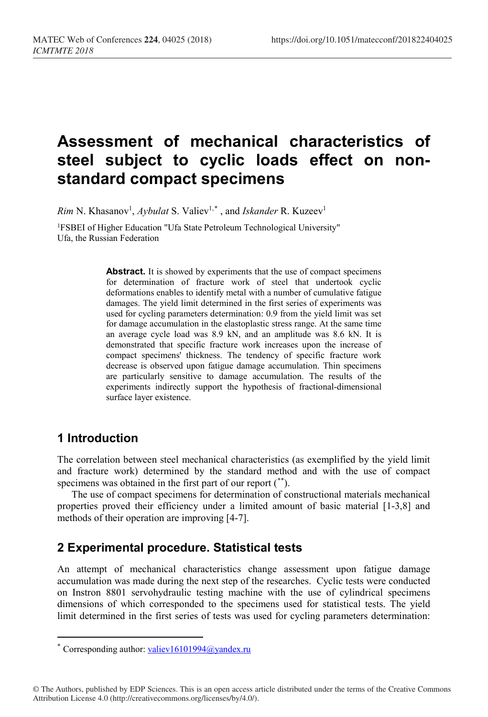# **Assessment of mechanical characteristics of steel subject to cyclic loads effect on nonstandard compact specimens**

*Rim* N. Khasanov<sup>1</sup>, *Aybulat* S. Valiev<sup>1,[\\*](#page-0-0)</sup>, and *Iskander* R. Kuzeev<sup>1</sup>

1FSBEI of Higher Education "Ufa State Petroleum Technological University" Ufa, the Russian Federation

> Abstract. It is showed by experiments that the use of compact specimens for determination of fracture work of steel that undertook cyclic deformations enables to identify metal with a number of cumulative fatigue damages. The yield limit determined in the first series of experiments was used for cycling parameters determination: 0.9 from the yield limit was set for damage accumulation in the elastoplastic stress range. At the same time an average cycle load was 8.9 kN, and an amplitude was 8.6 kN. It is demonstrated that specific fracture work increases upon the increase of compact specimens' thickness. The tendency of specific fracture work decrease is observed upon fatigue damage accumulation. Thin specimens are particularly sensitive to damage accumulation. The results of the experiments indirectly support the hypothesis of fractional-dimensional surface layer existence.

### **1 Introduction**

 $\overline{a}$ 

The correlation between steel mechanical characteristics (as exemplified by the yield limit and fracture work) determined by the standard method and with the use of compact specimens was obtained in the first part of our report ([\\*\\*\)](#page-0-1).

The use of compact specimens for determination of constructional materials mechanical properties proved their efficiency under a limited amount of basic material [1-3,8] and methods of their operation are improving [4-7].

### **2 Experimental procedure. Statistical tests**

An attempt of mechanical characteristics change assessment upon fatigue damage accumulation was made during the next step of the researches. Cyclic tests were conducted on Instron 8801 servohydraulic testing machine with the use of cylindrical specimens dimensions of which corresponded to the specimens used for statistical tests. The yield limit determined in the first series of tests was used for cycling parameters determination:

<span id="page-0-1"></span><span id="page-0-0"></span><sup>\*</sup> Corresponding author: [valiev16101994@yandex.ru](mailto:valiev16101994@yandex.ru)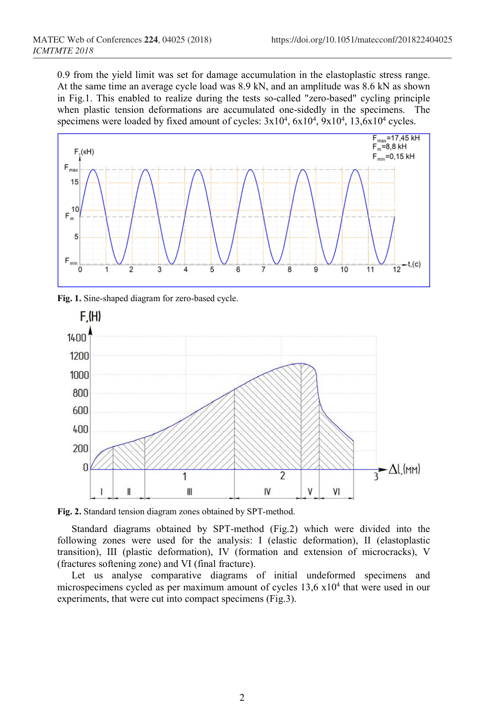0.9 from the yield limit was set for damage accumulation in the elastoplastic stress range. At the same time an average cycle load was 8.9 kN, and an amplitude was 8.6 kN as shown in Fig.1. This enabled to realize during the tests so-called "zero-based" cycling principle when plastic tension deformations are accumulated one-sidedly in the specimens. The specimens were loaded by fixed amount of cycles:  $3x10^4$ ,  $6x10^4$ ,  $9x10^4$ ,  $13,6x10^4$  cycles.



**Fig. 1.** Sine-shaped diagram for zero-based cycle.



**Fig. 2.** Standard tension diagram zones obtained by SPT-method.

Standard diagrams obtained by SPT-method (Fig.2) which were divided into the following zones were used for the analysis: I (elastic deformation), II (elastoplastic transition), III (plastic deformation), IV (formation and extension of microcracks), V (fractures softening zone) and VI (final fracture).

Let us analyse comparative diagrams of initial undeformed specimens and microspecimens cycled as per maximum amount of cycles  $13.6 \times 10^4$  that were used in our experiments, that were cut into compact specimens (Fig.3).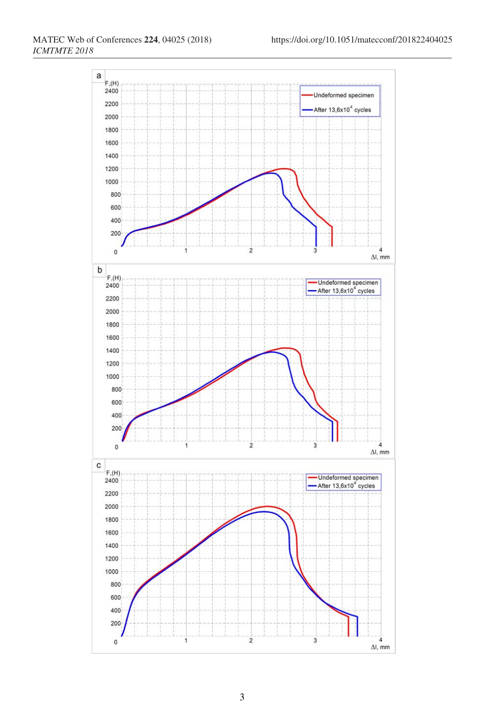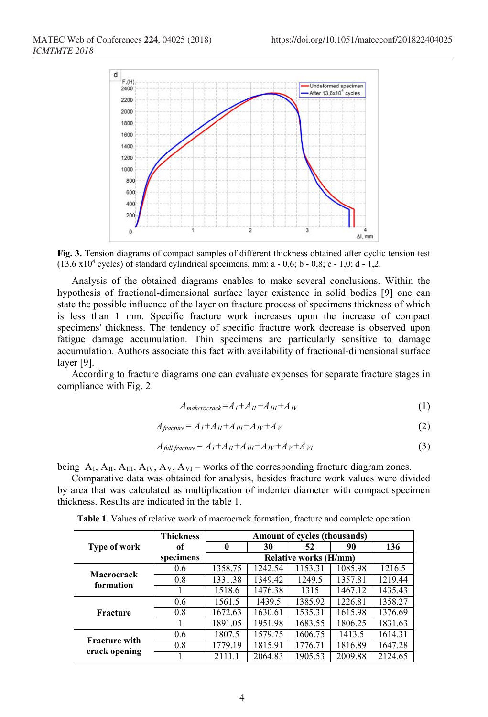

**Fig. 3.** Tension diagrams of compact samples of different thickness obtained after cyclic tension test  $(13,6 \times 10^4 \text{ cycles})$  of standard cylindrical specimens, mm: a - 0,6; b - 0,8; c - 1,0; d - 1,2.

Analysis of the obtained diagrams enables to make several conclusions. Within the hypothesis of fractional-dimensional surface layer existence in solid bodies [9] one can state the possible influence of the layer on fracture process of specimens thickness of which is less than 1 mm. Specific fracture work increases upon the increase of compact specimens' thickness. The tendency of specific fracture work decrease is observed upon fatigue damage accumulation. Thin specimens are particularly sensitive to damage accumulation. Authors associate this fact with availability of fractional-dimensional surface layer [9].

According to fracture diagrams one can evaluate expenses for separate fracture stages in compliance with Fig. 2:

$$
A_{\text{makerocrack}} = A_I + A_{II} + A_{III} + A_{IV} \tag{1}
$$

$$
A_{fracture} = A_I + A_{II} + A_{III} + A_{IV} + A_V \tag{2}
$$

$$
A_{full\,fractive} = A_I + A_{II} + A_{III} + A_{IV} + A_{V} + A_{VI}
$$
\n<sup>(3)</sup>

being  $A_I$ ,  $A_{II}$ ,  $A_{III}$ ,  $A_{IV}$ ,  $A_{VI}$  – works of the corresponding fracture diagram zones.

Comparative data was obtained for analysis, besides fracture work values were divided by area that was calculated as multiplication of indenter diameter with compact specimen thickness. Results are indicated in the table 1.

|                                       | <b>Thickness</b> | Amount of cycles (thousands) |         |         |         |         |
|---------------------------------------|------------------|------------------------------|---------|---------|---------|---------|
| <b>Type of work</b>                   | of               | 0                            | 30      | 52      | 90      | 136     |
|                                       | specimens        | <b>Relative works (H/mm)</b> |         |         |         |         |
| Macrocrack<br>formation               | 0.6              | 1358.75                      | 1242.54 | 1153.31 | 1085.98 | 1216.5  |
|                                       | 0.8              | 1331.38                      | 1349.42 | 1249.5  | 1357.81 | 1219.44 |
|                                       |                  | 1518.6                       | 1476.38 | 1315    | 1467.12 | 1435.43 |
| Fracture                              | 0.6              | 1561.5                       | 1439.5  | 1385.92 | 1226.81 | 1358.27 |
|                                       | 0.8              | 1672.63                      | 1630.61 | 1535.31 | 1615.98 | 1376.69 |
|                                       |                  | 1891.05                      | 1951.98 | 1683.55 | 1806.25 | 1831.63 |
| <b>Fracture with</b><br>crack opening | 0.6              | 1807.5                       | 1579.75 | 1606.75 | 1413.5  | 1614.31 |
|                                       | 0.8              | 1779.19                      | 1815.91 | 1776.71 | 1816.89 | 1647.28 |
|                                       |                  | 2111.1                       | 2064.83 | 1905.53 | 2009.88 | 2124.65 |

**Table 1**. Values of relative work of macrocrack formation, fracture and complete operation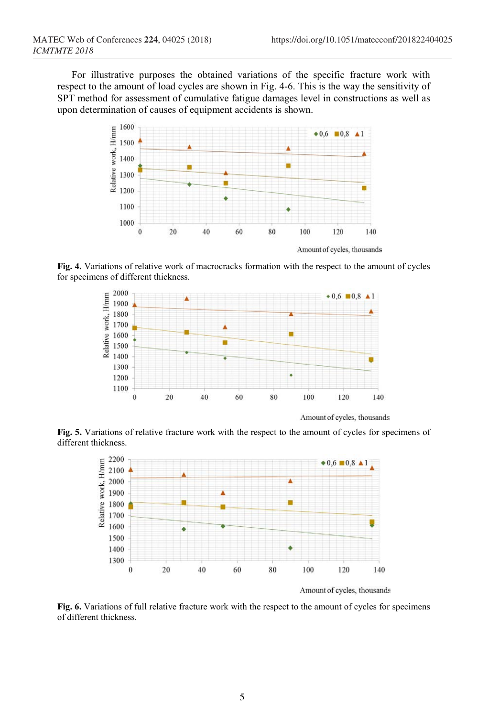For illustrative purposes the obtained variations of the specific fracture work with respect to the amount of load cycles are shown in Fig. 4-6. This is the way the sensitivity of SPT method for assessment of cumulative fatigue damages level in constructions as well as upon determination of causes of equipment accidents is shown.



**Fig. 4.** Variations of relative work of macrocracks formation with the respect to the amount of cycles for specimens of different thickness.



Amount of cycles, thousands

**Fig. 5.** Variations of relative fracture work with the respect to the amount of cycles for specimens of different thickness.



Amount of cycles, thousands

**Fig. 6.** Variations of full relative fracture work with the respect to the amount of cycles for specimens of different thickness.